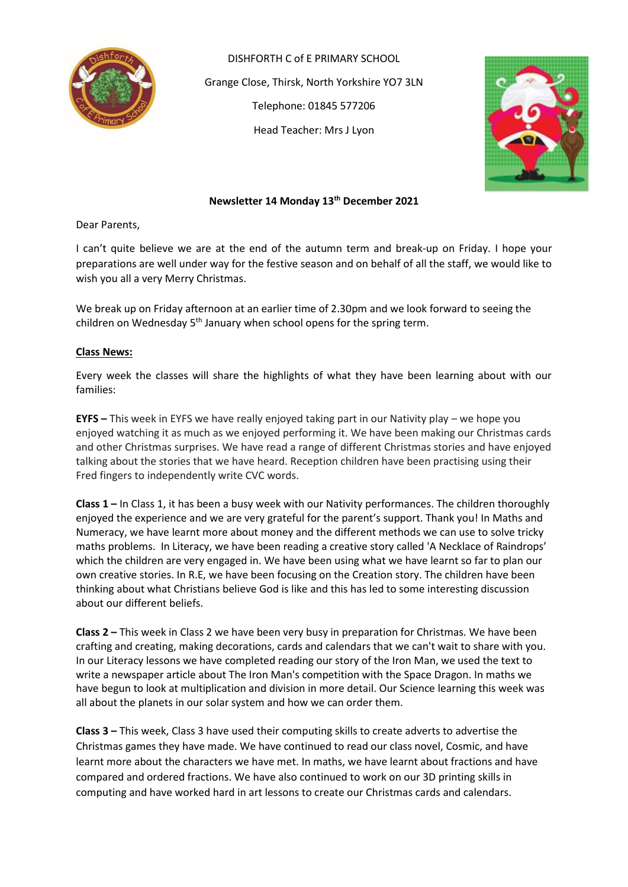![](_page_0_Picture_0.jpeg)

DISHFORTH C of E PRIMARY SCHOOL Grange Close, Thirsk, North Yorkshire YO7 3LN Telephone: 01845 577206 Head Teacher: Mrs J Lyon

![](_page_0_Picture_2.jpeg)

## **Newsletter 14 Monday 13th December 2021**

Dear Parents,

I can't quite believe we are at the end of the autumn term and break-up on Friday. I hope your preparations are well under way for the festive season and on behalf of all the staff, we would like to wish you all a very Merry Christmas.

We break up on Friday afternoon at an earlier time of 2.30pm and we look forward to seeing the children on Wednesday 5<sup>th</sup> January when school opens for the spring term.

### **Class News:**

Every week the classes will share the highlights of what they have been learning about with our families:

**EYFS –** This week in EYFS we have really enjoyed taking part in our Nativity play – we hope you enjoyed watching it as much as we enjoyed performing it. We have been making our Christmas cards and other Christmas surprises. We have read a range of different Christmas stories and have enjoyed talking about the stories that we have heard. Reception children have been practising using their Fred fingers to independently write CVC words.

**Class 1 –** In Class 1, it has been a busy week with our Nativity performances. The children thoroughly enjoyed the experience and we are very grateful for the parent's support. Thank you! In Maths and Numeracy, we have learnt more about money and the different methods we can use to solve tricky maths problems. In Literacy, we have been reading a creative story called 'A Necklace of Raindrops' which the children are very engaged in. We have been using what we have learnt so far to plan our own creative stories. In R.E, we have been focusing on the Creation story. The children have been thinking about what Christians believe God is like and this has led to some interesting discussion about our different beliefs.

**Class 2 –** This week in Class 2 we have been very busy in preparation for Christmas. We have been crafting and creating, making decorations, cards and calendars that we can't wait to share with you. In our Literacy lessons we have completed reading our story of the Iron Man, we used the text to write a newspaper article about The Iron Man's competition with the Space Dragon. In maths we have begun to look at multiplication and division in more detail. Our Science learning this week was all about the planets in our solar system and how we can order them.

**Class 3 –** This week, Class 3 have used their computing skills to create adverts to advertise the Christmas games they have made. We have continued to read our class novel, Cosmic, and have learnt more about the characters we have met. In maths, we have learnt about fractions and have compared and ordered fractions. We have also continued to work on our 3D printing skills in computing and have worked hard in art lessons to create our Christmas cards and calendars.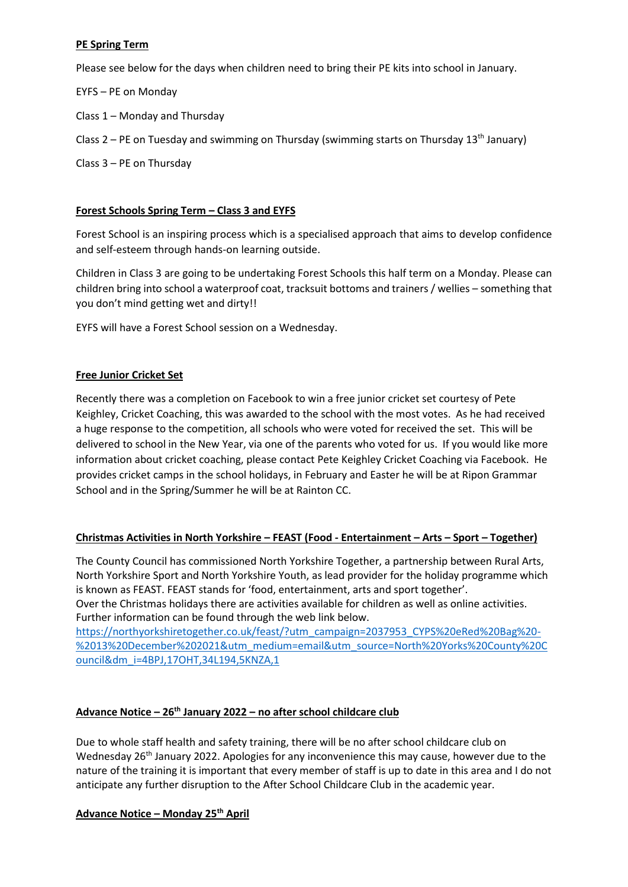# **PE Spring Term**

Please see below for the days when children need to bring their PE kits into school in January.

EYFS – PE on Monday

- Class 1 Monday and Thursday
- Class 2 PE on Tuesday and swimming on Thursday (swimming starts on Thursday 13<sup>th</sup> January)

Class 3 – PE on Thursday

# **Forest Schools Spring Term – Class 3 and EYFS**

Forest School is an inspiring process which is a specialised approach that aims to develop confidence and self-esteem through hands-on learning outside.

Children in Class 3 are going to be undertaking Forest Schools this half term on a Monday. Please can children bring into school a waterproof coat, tracksuit bottoms and trainers / wellies – something that you don't mind getting wet and dirty!!

EYFS will have a Forest School session on a Wednesday.

# **Free Junior Cricket Set**

Recently there was a completion on Facebook to win a free junior cricket set courtesy of Pete Keighley, Cricket Coaching, this was awarded to the school with the most votes. As he had received a huge response to the competition, all schools who were voted for received the set. This will be delivered to school in the New Year, via one of the parents who voted for us. If you would like more information about cricket coaching, please contact Pete Keighley Cricket Coaching via Facebook. He provides cricket camps in the school holidays, in February and Easter he will be at Ripon Grammar School and in the Spring/Summer he will be at Rainton CC.

## **Christmas Activities in North Yorkshire – FEAST (Food - Entertainment – Arts – Sport – Together)**

The County Council has commissioned North Yorkshire Together, a partnership between Rural Arts, North Yorkshire Sport and North Yorkshire Youth, as lead provider for the holiday programme which is known as FEAST. FEAST stands for 'food, entertainment, arts and sport together'. Over the Christmas holidays there are activities available for children as well as online activities.

Further information can be found through the web link below. [https://northyorkshiretogether.co.uk/feast/?utm\\_campaign=2037953\\_CYPS%20eRed%20Bag%20-](https://northyorkshiretogether.co.uk/feast/?utm_campaign=2037953_CYPS%20eRed%20Bag%20-%2013%20December%202021&utm_medium=email&utm_source=North%20Yorks%20County%20Council&dm_i=4BPJ,17OHT,34L194,5KNZA,1) [%2013%20December%202021&utm\\_medium=email&utm\\_source=North%20Yorks%20County%20C](https://northyorkshiretogether.co.uk/feast/?utm_campaign=2037953_CYPS%20eRed%20Bag%20-%2013%20December%202021&utm_medium=email&utm_source=North%20Yorks%20County%20Council&dm_i=4BPJ,17OHT,34L194,5KNZA,1) [ouncil&dm\\_i=4BPJ,17OHT,34L194,5KNZA,1](https://northyorkshiretogether.co.uk/feast/?utm_campaign=2037953_CYPS%20eRed%20Bag%20-%2013%20December%202021&utm_medium=email&utm_source=North%20Yorks%20County%20Council&dm_i=4BPJ,17OHT,34L194,5KNZA,1)

# **Advance Notice – 26th January 2022 – no after school childcare club**

Due to whole staff health and safety training, there will be no after school childcare club on Wednesday 26th January 2022. Apologies for any inconvenience this may cause, however due to the nature of the training it is important that every member of staff is up to date in this area and I do not anticipate any further disruption to the After School Childcare Club in the academic year.

## **Advance Notice – Monday 25th April**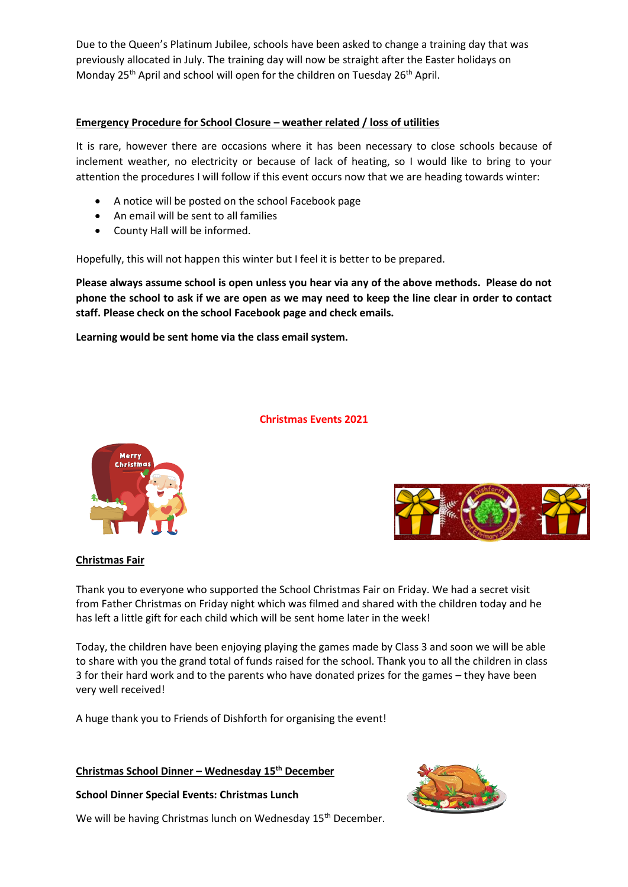Due to the Queen's Platinum Jubilee, schools have been asked to change a training day that was previously allocated in July. The training day will now be straight after the Easter holidays on Monday 25<sup>th</sup> April and school will open for the children on Tuesday 26<sup>th</sup> April.

### **Emergency Procedure for School Closure – weather related / loss of utilities**

It is rare, however there are occasions where it has been necessary to close schools because of inclement weather, no electricity or because of lack of heating, so I would like to bring to your attention the procedures I will follow if this event occurs now that we are heading towards winter:

- A notice will be posted on the school Facebook page
- An email will be sent to all families
- County Hall will be informed.

Hopefully, this will not happen this winter but I feel it is better to be prepared.

**Please always assume school is open unless you hear via any of the above methods. Please do not phone the school to ask if we are open as we may need to keep the line clear in order to contact staff. Please check on the school Facebook page and check emails.** 

**Learning would be sent home via the class email system.**

#### **Christmas Events 2021**

![](_page_2_Picture_10.jpeg)

![](_page_2_Picture_11.jpeg)

#### **Christmas Fair**

Thank you to everyone who supported the School Christmas Fair on Friday. We had a secret visit from Father Christmas on Friday night which was filmed and shared with the children today and he has left a little gift for each child which will be sent home later in the week!

Today, the children have been enjoying playing the games made by Class 3 and soon we will be able to share with you the grand total of funds raised for the school. Thank you to all the children in class 3 for their hard work and to the parents who have donated prizes for the games – they have been very well received!

A huge thank you to Friends of Dishforth for organising the event!

#### **Christmas School Dinner – Wednesday 15th December**

**School Dinner Special Events: Christmas Lunch** 

![](_page_2_Picture_18.jpeg)

We will be having Christmas lunch on Wednesday 15<sup>th</sup> December.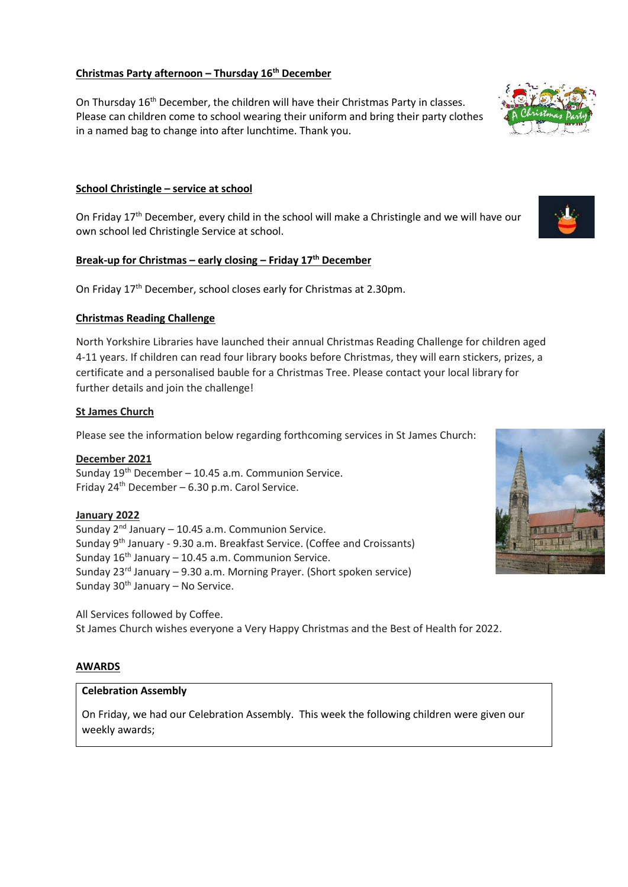### **Christmas Party afternoon – Thursday 16th December**

On Thursday 16<sup>th</sup> December, the children will have their Christmas Party in classes. Please can children come to school wearing their uniform and bring their party clothes in a named bag to change into after lunchtime. Thank you.

## **School Christingle – service at school**

On Friday 17<sup>th</sup> December, every child in the school will make a Christingle and we will have our own school led Christingle Service at school.

### **Break-up for Christmas – early closing – Friday 17th December**

On Friday 17th December, school closes early for Christmas at 2.30pm.

### **Christmas Reading Challenge**

North Yorkshire Libraries have launched their annual Christmas Reading Challenge for children aged 4-11 years. If children can read four library books before Christmas, they will earn stickers, prizes, a certificate and a personalised bauble for a Christmas Tree. Please contact your local library for further details and join the challenge!

### **St James Church**

Please see the information below regarding forthcoming services in St James Church:

**December 2021** Sunday  $19<sup>th</sup>$  December – 10.45 a.m. Communion Service. Friday  $24^{th}$  December – 6.30 p.m. Carol Service.

# **January 2022**

Sunday  $2<sup>nd</sup>$  January – 10.45 a.m. Communion Service. Sunday 9th January - 9.30 a.m. Breakfast Service. (Coffee and Croissants) Sunday  $16<sup>th</sup>$  January – 10.45 a.m. Communion Service. Sunday  $23^{rd}$  January – 9.30 a.m. Morning Prayer. (Short spoken service) Sunday  $30<sup>th</sup>$  January – No Service.

All Services followed by Coffee. St James Church wishes everyone a Very Happy Christmas and the Best of Health for 2022.

## **AWARDS**

# **Celebration Assembly**

On Friday, we had our Celebration Assembly. This week the following children were given our weekly awards;

![](_page_3_Picture_17.jpeg)

![](_page_3_Picture_18.jpeg)

![](_page_3_Picture_19.jpeg)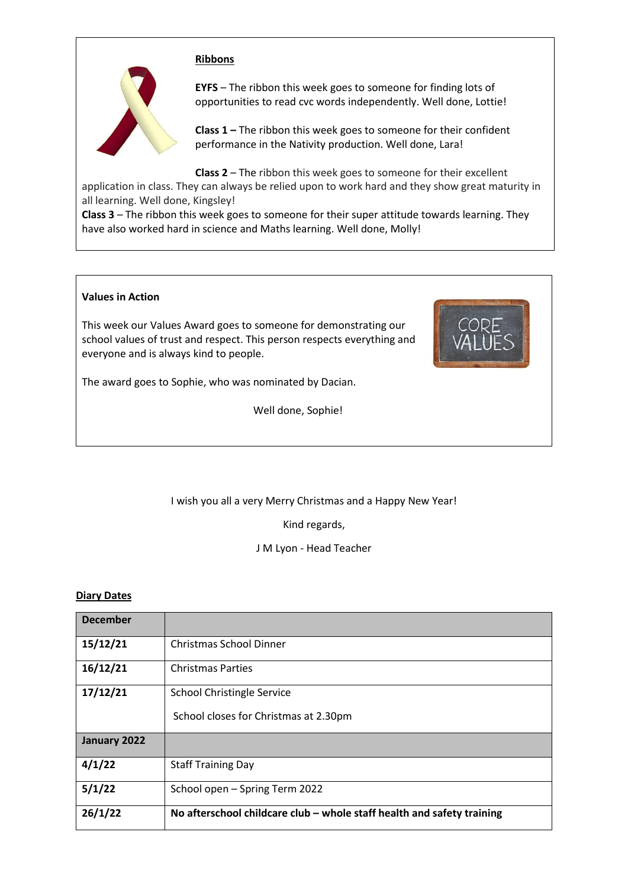#### **Ribbons**

![](_page_4_Picture_1.jpeg)

**EYFS** – The ribbon this week goes to someone for finding lots of opportunities to read cvc words independently. Well done, Lottie!

**Class 1 –** The ribbon this week goes to someone for their confident performance in the Nativity production. Well done, Lara!

**Class 2** – The ribbon this week goes to someone for their excellent

application in class. They can always be relied upon to work hard and they show great maturity in all learning. Well done, Kingsley!

**Class 3** – The ribbon this week goes to someone for their super attitude towards learning. They have also worked hard in science and Maths learning. Well done, Molly!

#### **Values in Action**

This week our Values Award goes to someone for demonstrating our school values of trust and respect. This person respects everything and everyone and is always kind to people.

![](_page_4_Picture_9.jpeg)

The award goes to Sophie, who was nominated by Dacian.

Well done, Sophie!

## I wish you all a very Merry Christmas and a Happy New Year!

Kind regards,

J M Lyon - Head Teacher

#### **Diary Dates**

| <b>December</b> |                                                                        |
|-----------------|------------------------------------------------------------------------|
| 15/12/21        | <b>Christmas School Dinner</b>                                         |
| 16/12/21        | <b>Christmas Parties</b>                                               |
| 17/12/21        | <b>School Christingle Service</b>                                      |
|                 | School closes for Christmas at 2.30pm                                  |
| January 2022    |                                                                        |
| 4/1/22          | <b>Staff Training Day</b>                                              |
| 5/1/22          | School open - Spring Term 2022                                         |
| 26/1/22         | No afterschool childcare club – whole staff health and safety training |